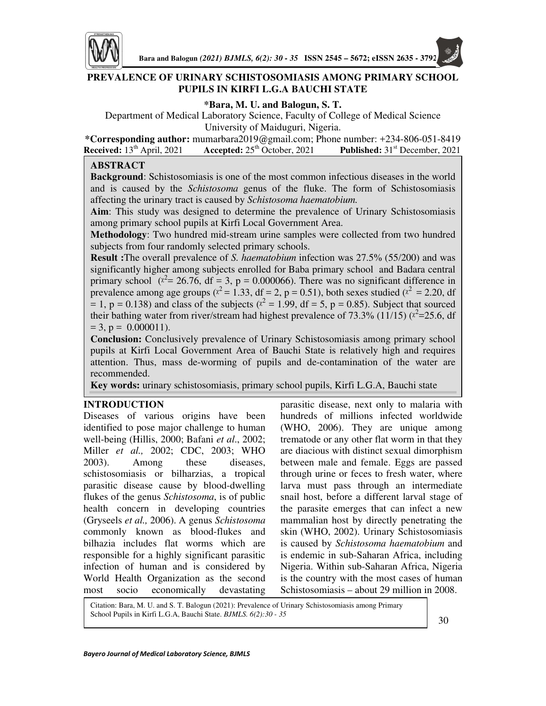

# **PREVALENCE OF URINARY SCHISTOSOMIASIS AMONG PRIMARY SCHOOL PUPILS IN KIRFI L.G.A BAUCHI STATE**

**\*Bara, M. U. and Balogun, S. T.** 

Department of Medical Laboratory Science, Faculty of College of Medical Science University of Maiduguri, Nigeria.

**\*Corresponding author:** mumarbara2019@gmail.com; Phone number: +234-806-051-8419 **Received:** 13th April, 2021 **Accepted:** 25th October, 2021 **Published:** 31st December, 2021

# **ABSTRACT**

**Background**: Schistosomiasis is one of the most common infectious diseases in the world and is caused by the *Schistosoma* genus of the fluke. The form of Schistosomiasis affecting the urinary tract is caused by *Schistosoma haematobium.* 

**Aim**: This study was designed to determine the prevalence of Urinary Schistosomiasis among primary school pupils at Kirfi Local Government Area.

**Methodology**: Two hundred mid-stream urine samples were collected from two hundred subjects from four randomly selected primary schools.

**Result :**The overall prevalence of *S. haematobium* infection was 27.5% (55/200) and was significantly higher among subjects enrolled for Baba primary school and Badara central primary school ( $x^2$  = 26.76, df = 3, p = 0.000066). There was no significant difference in prevalence among age groups ( $x^2 = 1.33$ , df = 2, p = 0.51), both sexes studied ( $x^2 = 2.20$ , df  $= 1$ , p = 0.138) and class of the subjects ( $x^2 = 1.99$ , df = 5, p = 0.85). Subject that sourced their bathing water from river/stream had highest prevalence of 73.3% (11/15) ( $x^2$ =25.6, df  $= 3$ ,  $p = 0.000011$ ).

**Conclusion:** Conclusively prevalence of Urinary Schistosomiasis among primary school pupils at Kirfi Local Government Area of Bauchi State is relatively high and requires attention. Thus, mass de-worming of pupils and de-contamination of the water are recommended.

**Key words:** urinary schistosomiasis, primary school pupils, Kirfi L.G.A, Bauchi state

# **INTRODUCTION**

Г

Diseases of various origins have been identified to pose major challenge to human well-being (Hillis, 2000; Bafani *et al*., 2002; Miller *et al.,* 2002; CDC, 2003; WHO 2003). Among these diseases, schistosomiasis or bilharzias, a tropical parasitic disease cause by blood-dwelling flukes of the genus *Schistosoma*, is of public health concern in developing countries (Gryseels *et al.,* 2006). A genus *Schistosoma*  commonly known as blood-flukes and bilhazia includes flat worms which are responsible for a highly significant parasitic infection of human and is considered by World Health Organization as the second most socio economically devastating

parasitic disease, next only to malaria with hundreds of millions infected worldwide (WHO, 2006). They are unique among trematode or any other flat worm in that they are diacious with distinct sexual dimorphism between male and female. Eggs are passed through urine or feces to fresh water, where larva must pass through an intermediate snail host, before a different larval stage of the parasite emerges that can infect a new mammalian host by directly penetrating the skin (WHO, 2002). Urinary Schistosomiasis is caused by *Schistosoma haematobium* and is endemic in sub-Saharan Africa, including Nigeria. Within sub-Saharan Africa, Nigeria is the country with the most cases of human Schistosomiasis – about 29 million in 2008.

Citation: Bara, M. U. and S. T. Balogun (2021): Prevalence of Urinary Schistosomiasis among Primary School Pupils in Kirfi L.G.A, Bauchi State. *BJMLS. 6(2):30 - 35* 30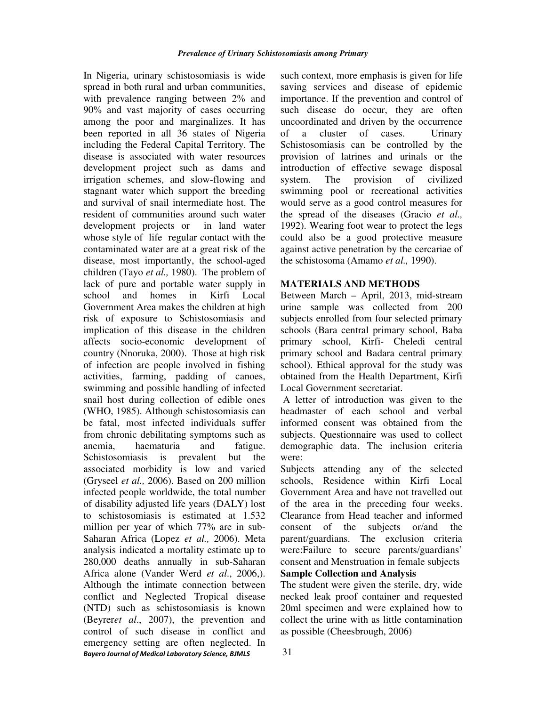*Bayero Journal of Medical Laboratory Science, BJMLS*  In Nigeria, urinary schistosomiasis is wide spread in both rural and urban communities, with prevalence ranging between 2% and 90% and vast majority of cases occurring among the poor and marginalizes. It has been reported in all 36 states of Nigeria including the Federal Capital Territory. The disease is associated with water resources development project such as dams and irrigation schemes, and slow-flowing and stagnant water which support the breeding and survival of snail intermediate host. The resident of communities around such water development projects or in land water whose style of life regular contact with the contaminated water are at a great risk of the disease, most importantly, the school-aged children (Tayo *et al.,* 1980). The problem of lack of pure and portable water supply in school and homes in Kirfi Local Government Area makes the children at high risk of exposure to Schistosomiasis and implication of this disease in the children affects socio-economic development of country (Nnoruka, 2000). Those at high risk of infection are people involved in fishing activities, farming, padding of canoes, swimming and possible handling of infected snail host during collection of edible ones (WHO, 1985). Although schistosomiasis can be fatal, most infected individuals suffer from chronic debilitating symptoms such as anemia, haematuria and fatigue. Schistosomiasis is prevalent but the associated morbidity is low and varied (Gryseel *et al.,* 2006). Based on 200 million infected people worldwide, the total number of disability adjusted life years (DALY) lost to schistosomiasis is estimated at 1.532 million per year of which 77% are in sub-Saharan Africa (Lopez *et al.,* 2006). Meta analysis indicated a mortality estimate up to 280,000 deaths annually in sub-Saharan Africa alone (Vander Werd *et al*., 2006,). Although the intimate connection between conflict and Neglected Tropical disease (NTD) such as schistosomiasis is known (Beyrer*et al*., 2007), the prevention and control of such disease in conflict and emergency setting are often neglected. In such context, more emphasis is given for life saving services and disease of epidemic importance. If the prevention and control of such disease do occur, they are often uncoordinated and driven by the occurrence of a cluster of cases. Urinary Schistosomiasis can be controlled by the provision of latrines and urinals or the introduction of effective sewage disposal system. The provision of civilized swimming pool or recreational activities would serve as a good control measures for the spread of the diseases (Gracio *et al.,* 1992). Wearing foot wear to protect the legs could also be a good protective measure against active penetration by the cercariae of the schistosoma (Amamo *et al.,* 1990).

# **MATERIALS AND METHODS**

Between March – April, 2013, mid-stream urine sample was collected from 200 subjects enrolled from four selected primary schools (Bara central primary school, Baba primary school, Kirfi- Cheledi central primary school and Badara central primary school). Ethical approval for the study was obtained from the Health Department, Kirfi Local Government secretariat.

 A letter of introduction was given to the headmaster of each school and verbal informed consent was obtained from the subjects. Questionnaire was used to collect demographic data. The inclusion criteria were:

Subjects attending any of the selected schools, Residence within Kirfi Local Government Area and have not travelled out of the area in the preceding four weeks. Clearance from Head teacher and informed consent of the subjects or/and the parent/guardians. The exclusion criteria were:Failure to secure parents/guardians' consent and Menstruation in female subjects **Sample Collection and Analysis** 

The student were given the sterile, dry, wide necked leak proof container and requested 20ml specimen and were explained how to collect the urine with as little contamination as possible (Cheesbrough, 2006)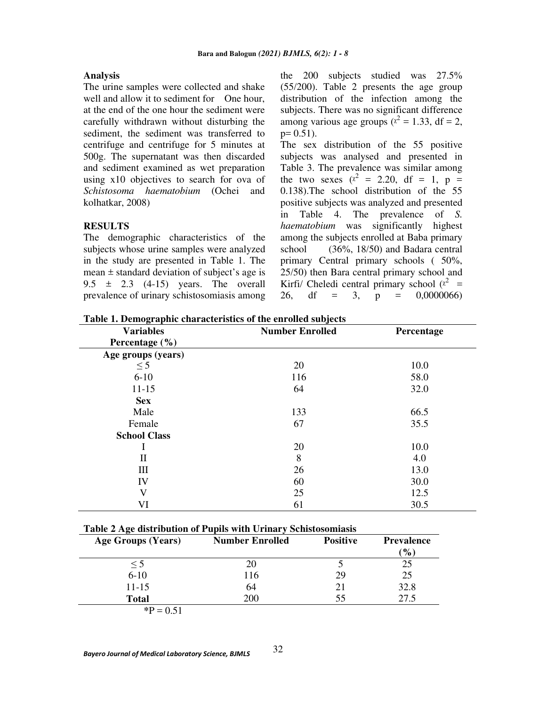### **Analysis**

The urine samples were collected and shake well and allow it to sediment for One hour, at the end of the one hour the sediment were carefully withdrawn without disturbing the sediment, the sediment was transferred to centrifuge and centrifuge for 5 minutes at 500g. The supernatant was then discarded and sediment examined as wet preparation using x10 objectives to search for ova of *Schistosoma haematobium* (Ochei and kolhatkar, 2008)

## **RESULTS**

The demographic characteristics of the subjects whose urine samples were analyzed in the study are presented in Table 1. The mean  $\pm$  standard deviation of subject's age is 9.5  $\pm$  2.3 (4-15) years. The overall prevalence of urinary schistosomiasis among the 200 subjects studied was 27.5% (55/200). Table 2 presents the age group distribution of the infection among the subjects. There was no significant difference among various age groups ( $x^2 = 1.33$ , df = 2,  $p= 0.51$ ).

The sex distribution of the 55 positive subjects was analysed and presented in Table 3. The prevalence was similar among the two sexes ( $x^2 = 2.20$ , df = 1, p = 0.138).The school distribution of the 55 positive subjects was analyzed and presented in Table 4. The prevalence of *S. haematobium* was significantly highest among the subjects enrolled at Baba primary school (36%, 18/50) and Badara central primary Central primary schools ( 50%, 25/50) then Bara central primary school and Kirfi/ Cheledi central primary school  $(x^2 =$ 26, df = 3, p = 0,0000066)

**Table 1. Demographic characteristics of the enrolled subjects** 

| <b>Variables</b>    | <b>Number Enrolled</b> | Percentage |
|---------------------|------------------------|------------|
| Percentage $(\% )$  |                        |            |
| Age groups (years)  |                        |            |
| $\leq$ 5            | 20                     | 10.0       |
| $6 - 10$            | 116                    | 58.0       |
| $11 - 15$           | 64                     | 32.0       |
| <b>Sex</b>          |                        |            |
| Male                | 133                    | 66.5       |
| Female              | 67                     | 35.5       |
| <b>School Class</b> |                        |            |
|                     | 20                     | 10.0       |
| П                   | 8                      | 4.0        |
| Ш                   | 26                     | 13.0       |
| IV                  | 60                     | 30.0       |
| V                   | 25                     | 12.5       |
| VI                  | 61                     | 30.5       |

## **Table 2 Age distribution of Pupils with Urinary Schistosomiasis**

| Age Groups (Years) | <b>Number Enrolled</b> | <b>Positive</b> | <b>Prevalence</b><br>$\mathcal{O}_0$ |
|--------------------|------------------------|-----------------|--------------------------------------|
| $\leq$ 5           | 20                     |                 | 25                                   |
| $6 - 10$           | 116                    | 29              | 25                                   |
| $11 - 15$          | 64                     | 21              | 32.8                                 |
| <b>Total</b>       | 200                    | 55              | 27.5                                 |
| $P = 0.51$         |                        |                 |                                      |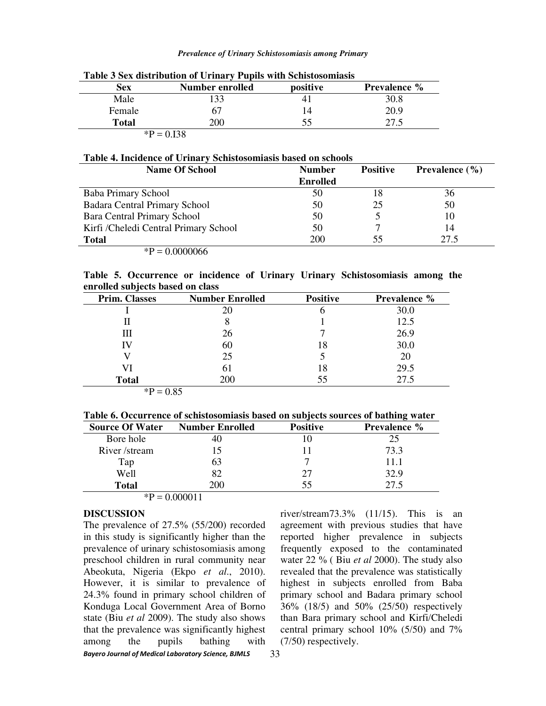#### *Prevalence of Urinary Schistosomiasis among Primary*

| Sex          | Number enrolled | positive | <b>Prevalence</b> % |
|--------------|-----------------|----------|---------------------|
| Male         | 133             |          | 30.8                |
| Female       | 67              | 14       | 20.9                |
| <b>Total</b> | 200             | 55       |                     |
|              | $P = 0.138$     |          |                     |

### **Table 3 Sex distribution of Urinary Pupils with Schistosomiasis**

## **Table 4. Incidence of Urinary Schistosomiasis based on schools**

| <b>Name Of School</b>                 | <b>Number</b>   | <b>Positive</b> | <b>Prevalence</b> $(\% )$ |
|---------------------------------------|-----------------|-----------------|---------------------------|
|                                       | <b>Enrolled</b> |                 |                           |
| Baba Primary School                   | 50              | 18              | 36                        |
| <b>Badara Central Primary School</b>  | 50              | 25              | 50                        |
| <b>Bara Central Primary School</b>    | 50              |                 | 10                        |
| Kirfi /Cheledi Central Primary School | 50              |                 | 14                        |
| <b>Total</b>                          | 200             | 55              | 27.5                      |
| ${}^*P = 0.0000066$                   |                 |                 |                           |

**Table 5. Occurrence or incidence of Urinary Urinary Schistosomiasis among the enrolled subjects based on class** 

| <b>Prim. Classes</b> | <b>Number Enrolled</b> | <b>Positive</b> | <b>Prevalence %</b> |
|----------------------|------------------------|-----------------|---------------------|
|                      |                        | O               | 30.0                |
|                      |                        |                 | 12.5                |
| Ш                    | 26                     |                 | 26.9                |
| IV                   | 60                     | 18              | 30.0                |
|                      | 25                     |                 | 20                  |
| VI                   | 61                     | 18              | 29.5                |
| <b>Total</b>         | 200                    | 55              | 27.5                |

 ${}^{*}\text{P} = 0.85$ 

| <b>Source Of Water</b>   | <b>Number Enrolled</b> | <b>Positive</b> | <b>Prevalence %</b> |
|--------------------------|------------------------|-----------------|---------------------|
| Bore hole                | 40                     |                 | 25                  |
| River/stream             |                        |                 | 73.3                |
| Tap                      | 63                     |                 | 11.1                |
| Well                     | 82                     | 27              | 32.9                |
| <b>Total</b>             | 200-                   | 55              | 27.5                |
| $\overline{\phantom{a}}$ | .                      |                 |                     |

 $*P = 0.000011$ 

# **DISCUSSION**

*Bayero Journal of Medical Laboratory Science, BJMLS*  The prevalence of 27.5% (55/200) recorded in this study is significantly higher than the prevalence of urinary schistosomiasis among preschool children in rural community near Abeokuta, Nigeria (Ekpo *et al*., 2010). However, it is similar to prevalence of 24.3% found in primary school children of Konduga Local Government Area of Borno state (Biu *et al* 2009). The study also shows that the prevalence was significantly highest among the pupils bathing with

river/stream73.3% (11/15). This is an agreement with previous studies that have reported higher prevalence in subjects frequently exposed to the contaminated water 22 % ( Biu *et al* 2000). The study also revealed that the prevalence was statistically highest in subjects enrolled from Baba primary school and Badara primary school 36% (18/5) and 50% (25/50) respectively than Bara primary school and Kirfi/Cheledi central primary school 10% (5/50) and 7% (7/50) respectively.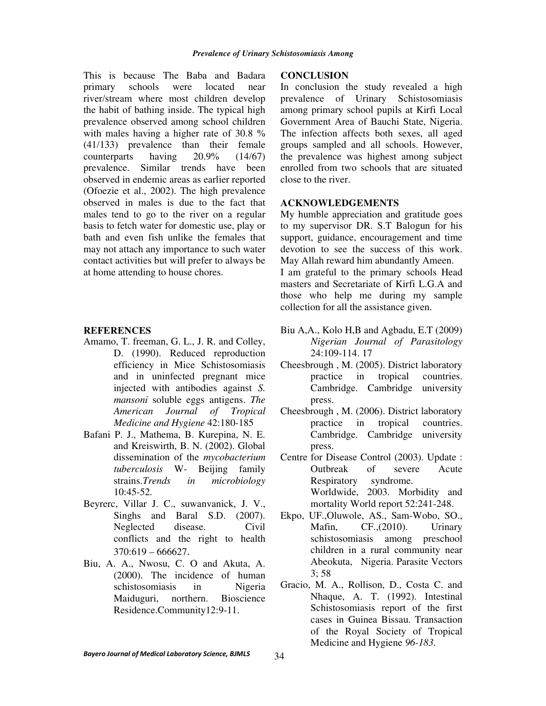This is because The Baba and Badara primary schools were located near river/stream where most children develop the habit of bathing inside. The typical high prevalence observed among school children with males having a higher rate of 30.8 % (41/133) prevalence than their female counterparts having 20.9% (14/67) prevalence. Similar trends have been observed in endemic areas as earlier reported (Ofoezie et al., 2002). The high prevalence observed in males is due to the fact that males tend to go to the river on a regular basis to fetch water for domestic use, play or bath and even fish unlike the females that may not attach any importance to such water contact activities but will prefer to always be at home attending to house chores.

#### **REFERENCES**

- Amamo, T. freeman, G. L., J. R. and Colley, D. (1990). Reduced reproduction efficiency in Mice Schistosomiasis and in uninfected pregnant mice injected with antibodies against *S. mansoni* soluble eggs antigens. *The American Journal of Tropical Medicine and Hygiene* 42:180-185
- Bafani P. J., Mathema, B. Kurepina, N. E. and Kreiswirth, B. N. (2002). Global dissemination of the *mycobacterium tuberculosis* W- Beijing family strains.*Trends in microbiology*  10:45-52*.*
- Beyrerc, Villar J. C., suwanvanick, J. V., Singhs and Baral S.D. (2007). Neglected disease. Civil conflicts and the right to health 370:619 – 666627.
- Biu, A. A., Nwosu, C. O and Akuta, A. (2000). The incidence of human schistosomiasis in Nigeria Maiduguri, northern. Bioscience Residence.Community12:9-11.

### **CONCLUSION**

In conclusion the study revealed a high prevalence of Urinary Schistosomiasis among primary school pupils at Kirfi Local Government Area of Bauchi State, Nigeria. The infection affects both sexes, all aged groups sampled and all schools. However, the prevalence was highest among subject enrolled from two schools that are situated close to the river.

# **ACKNOWLEDGEMENTS**

My humble appreciation and gratitude goes to my supervisor DR. S.T Balogun for his support, guidance, encouragement and time devotion to see the success of this work. May Allah reward him abundantly Ameen. I am grateful to the primary schools Head masters and Secretariate of Kirfi L.G.A and those who help me during my sample collection for all the assistance given.

- Biu A,A., Kolo H,B and Agbadu, E.T (2009) *Nigerian Journal of Parasitology*  24:109-114. 17
- Cheesbrough , M. (2005). District laboratory practice in tropical countries. Cambridge. Cambridge university press.
- Cheesbrough , M. (2006). District laboratory practice in tropical countries. Cambridge. Cambridge university press.
- Centre for Disease Control (2003). Update : Outbreak of severe Acute Respiratory syndrome. Worldwide, 2003. Morbidity and mortality World report 52:241-248.
- Ekpo, UF.,Oluwole, AS., Sam-Wobo, SO., Mafin, CF., (2010). Urinary schistosomiasis among preschool children in a rural community near Abeokuta, Nigeria. Parasite Vectors 3; 58
- Gracio, M. A., Rollison, D., Costa C. and Nhaque, A. T. (1992). Intestinal Schistosomiasis report of the first cases in Guinea Bissau. Transaction of the Royal Society of Tropical Medicine and Hygiene *96-183.*